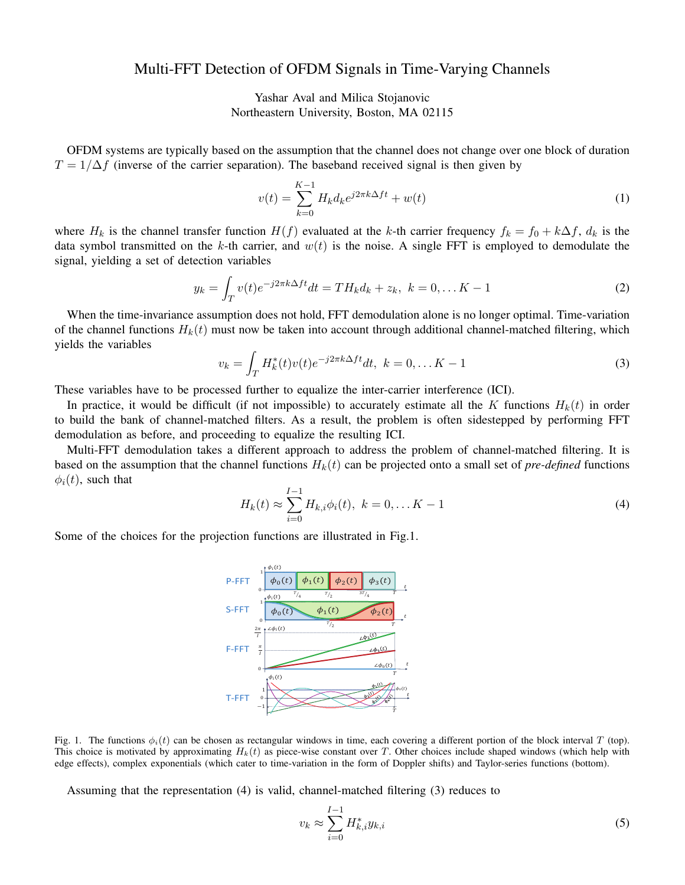## Multi-FFT Detection of OFDM Signals in Time-Varying Channels

Yashar Aval and Milica Stojanovic Northeastern University, Boston, MA 02115

OFDM systems are typically based on the assumption that the channel does not change over one block of duration  $T = 1/\Delta f$  (inverse of the carrier separation). The baseband received signal is then given by

$$
v(t) = \sum_{k=0}^{K-1} H_k d_k e^{j2\pi k \Delta ft} + w(t)
$$
 (1)

where  $H_k$  is the channel transfer function  $H(f)$  evaluated at the k-th carrier frequency  $f_k = f_0 + k\Delta f$ ,  $d_k$  is the data symbol transmitted on the k-th carrier, and  $w(t)$  is the noise. A single FFT is employed to demodulate the signal, yielding a set of detection variables

$$
y_k = \int_T v(t)e^{-j2\pi k\Delta ft}dt = TH_k d_k + z_k, \ k = 0, \dots K - 1
$$
 (2)

When the time-invariance assumption does not hold, FFT demodulation alone is no longer optimal. Time-variation of the channel functions  $H_k(t)$  must now be taken into account through additional channel-matched filtering, which yields the variables

$$
v_k = \int_T H_k^*(t) v(t) e^{-j2\pi k \Delta ft} dt, \ k = 0, \dots K - 1
$$
 (3)

These variables have to be processed further to equalize the inter-carrier interference (ICI).

In practice, it would be difficult (if not impossible) to accurately estimate all the K functions  $H_k(t)$  in order to build the bank of channel-matched filters. As a result, the problem is often sidestepped by performing FFT demodulation as before, and proceeding to equalize the resulting ICI.

Multi-FFT demodulation takes a different approach to address the problem of channel-matched filtering. It is based on the assumption that the channel functions  $H_k(t)$  can be projected onto a small set of *pre-defined* functions  $\phi_i(t)$ , such that

$$
H_k(t) \approx \sum_{i=0}^{I-1} H_{k,i} \phi_i(t), \ k = 0, \dots K - 1
$$
 (4)

Some of the choices for the projection functions are illustrated in Fig.1.



Fig. 1. The functions  $\phi_i(t)$  can be chosen as rectangular windows in time, each covering a different portion of the block interval T (top). This choice is motivated by approximating  $H_k(t)$  as piece-wise constant over T. Other choices include shaped windows (which help with edge effects), complex exponentials (which cater to time-variation in the form of Doppler shifts) and Taylor-series functions (bottom).

Assuming that the representation (4) is valid, channel-matched filtering (3) reduces to

$$
v_k \approx \sum_{i=0}^{I-1} H_{k,i}^* y_{k,i}
$$
 (5)